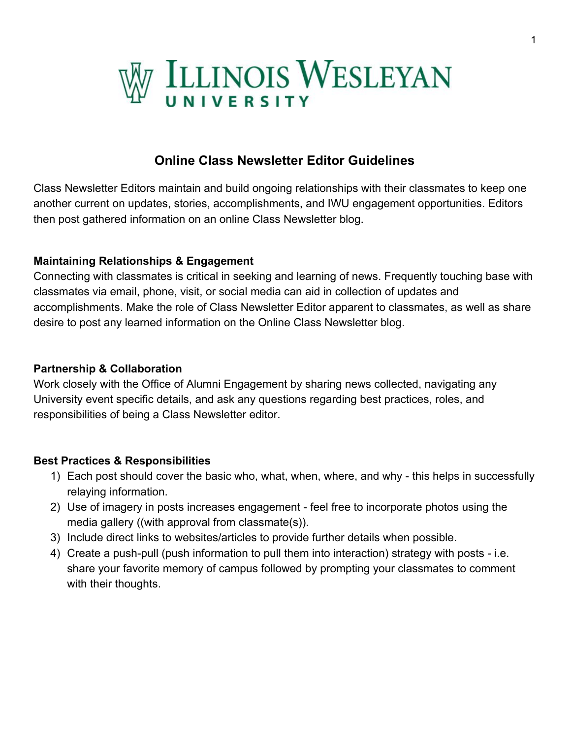

# **Online Class Newsletter Editor Guidelines**

Class Newsletter Editors maintain and build ongoing relationships with their classmates to keep one another current on updates, stories, accomplishments, and IWU engagement opportunities. Editors then post gathered information on an online Class Newsletter blog.

#### **Maintaining Relationships & Engagement**

Connecting with classmates is critical in seeking and learning of news. Frequently touching base with classmates via email, phone, visit, or social media can aid in collection of updates and accomplishments. Make the role of Class Newsletter Editor apparent to classmates, as well as share desire to post any learned information on the Online Class Newsletter blog.

#### **Partnership & Collaboration**

Work closely with the Office of Alumni Engagement by sharing news collected, navigating any University event specific details, and ask any questions regarding best practices, roles, and responsibilities of being a Class Newsletter editor.

#### **Best Practices & Responsibilities**

- 1) Each post should cover the basic who, what, when, where, and why this helps in successfully relaying information.
- 2) Use of imagery in posts increases engagement feel free to incorporate photos using the media gallery ((with approval from classmate(s)).
- 3) Include direct links to websites/articles to provide further details when possible.
- 4) Create a push-pull (push information to pull them into interaction) strategy with posts i.e. share your favorite memory of campus followed by prompting your classmates to comment with their thoughts.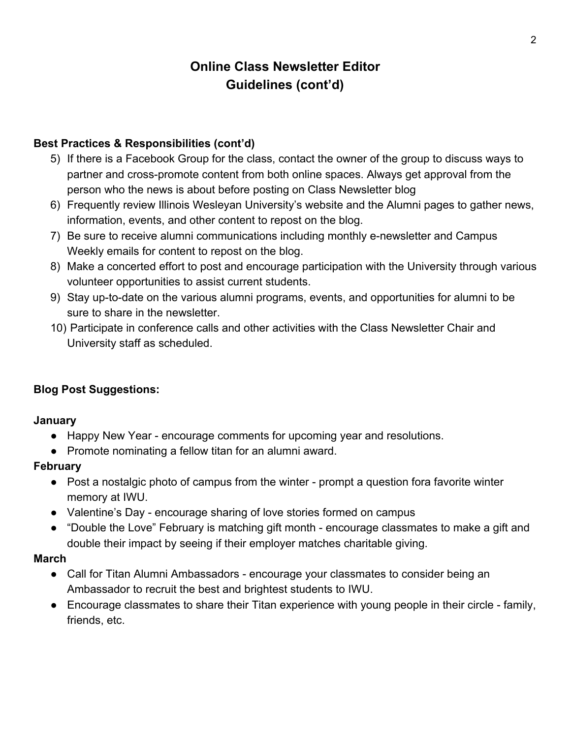# **Online Class Newsletter Editor Guidelines (cont'd)**

### **Best Practices & Responsibilities (cont'd)**

- 5) If there is a Facebook Group for the class, contact the owner of the group to discuss ways to partner and cross-promote content from both online spaces. Always get approval from the person who the news is about before posting on Class Newsletter blog
- 6) Frequently review Illinois Wesleyan University's website and the Alumni pages to gather news, information, events, and other content to repost on the blog.
- 7) Be sure to receive alumni communications including monthly e-newsletter and Campus Weekly emails for content to repost on the blog.
- 8) Make a concerted effort to post and encourage participation with the University through various volunteer opportunities to assist current students.
- 9) Stay up-to-date on the various alumni programs, events, and opportunities for alumni to be sure to share in the newsletter.
- 10) Participate in conference calls and other activities with the Class Newsletter Chair and University staff as scheduled.

### **Blog Post Suggestions:**

#### **January**

- Happy New Year encourage comments for upcoming year and resolutions.
- Promote nominating a fellow titan for an alumni award.

#### **February**

- Post a nostalgic photo of campus from the winter prompt a question fora favorite winter memory at IWU.
- Valentine's Day encourage sharing of love stories formed on campus
- "Double the Love" February is matching gift month encourage classmates to make a gift and double their impact by seeing if their employer matches charitable giving.

#### **March**

- Call for Titan Alumni Ambassadors encourage your classmates to consider being an Ambassador to recruit the best and brightest students to IWU.
- Encourage classmates to share their Titan experience with young people in their circle family, friends, etc.